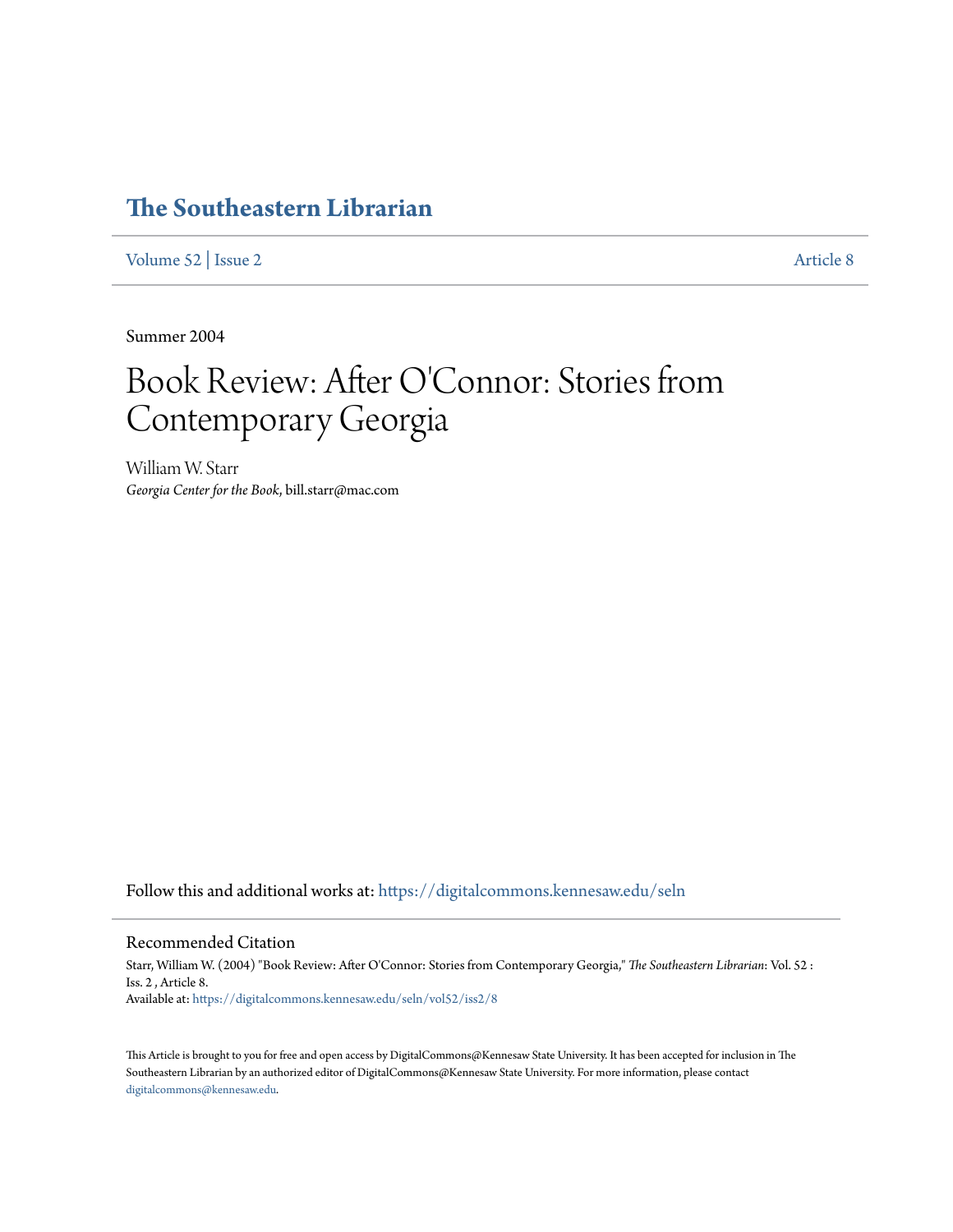# **[The Southeastern Librarian](https://digitalcommons.kennesaw.edu/seln?utm_source=digitalcommons.kennesaw.edu%2Fseln%2Fvol52%2Fiss2%2F8&utm_medium=PDF&utm_campaign=PDFCoverPages)**

[Volume 52](https://digitalcommons.kennesaw.edu/seln/vol52?utm_source=digitalcommons.kennesaw.edu%2Fseln%2Fvol52%2Fiss2%2F8&utm_medium=PDF&utm_campaign=PDFCoverPages) | [Issue 2](https://digitalcommons.kennesaw.edu/seln/vol52/iss2?utm_source=digitalcommons.kennesaw.edu%2Fseln%2Fvol52%2Fiss2%2F8&utm_medium=PDF&utm_campaign=PDFCoverPages) [Article 8](https://digitalcommons.kennesaw.edu/seln/vol52/iss2/8?utm_source=digitalcommons.kennesaw.edu%2Fseln%2Fvol52%2Fiss2%2F8&utm_medium=PDF&utm_campaign=PDFCoverPages)

Summer 2004

# Book Review: After O'Connor: Stories from Contemporary Georgia

William W. Starr *Georgia Center for the Book*, bill.starr@mac.com

Follow this and additional works at: [https://digitalcommons.kennesaw.edu/seln](https://digitalcommons.kennesaw.edu/seln?utm_source=digitalcommons.kennesaw.edu%2Fseln%2Fvol52%2Fiss2%2F8&utm_medium=PDF&utm_campaign=PDFCoverPages)

## Recommended Citation

Starr, William W. (2004) "Book Review: After O'Connor: Stories from Contemporary Georgia," *The Southeastern Librarian*: Vol. 52 : Iss. 2 , Article 8. Available at: [https://digitalcommons.kennesaw.edu/seln/vol52/iss2/8](https://digitalcommons.kennesaw.edu/seln/vol52/iss2/8?utm_source=digitalcommons.kennesaw.edu%2Fseln%2Fvol52%2Fiss2%2F8&utm_medium=PDF&utm_campaign=PDFCoverPages)

This Article is brought to you for free and open access by DigitalCommons@Kennesaw State University. It has been accepted for inclusion in The Southeastern Librarian by an authorized editor of DigitalCommons@Kennesaw State University. For more information, please contact [digitalcommons@kennesaw.edu.](mailto:digitalcommons@kennesaw.edu)